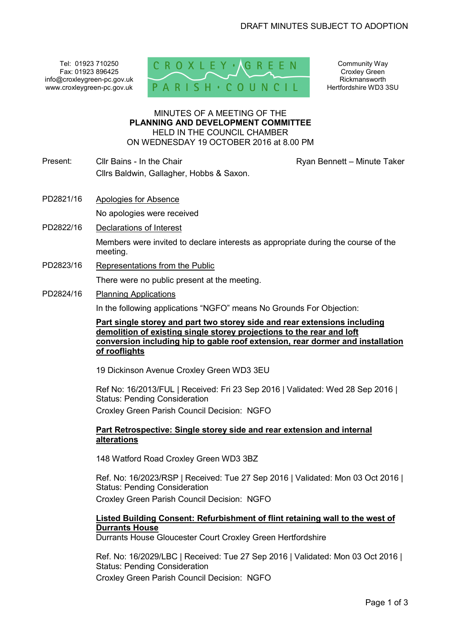Tel: 01923 710250 Fax: 01923 896425 info@croxleygreen-pc.gov.uk www.croxleygreen-pc.gov.uk



Community Way Croxley Green Rickmansworth Hertfordshire WD3 3SU

#### MINUTES OF A MEETING OF THE **PLANNING AND DEVELOPMENT COMMITTEE** HELD IN THE COUNCIL CHAMBER ON WEDNESDAY 19 OCTOBER 2016 at 8.00 PM

- Present: Cllr Bains In the Chair Chair Ryan Bennett Minute Taker Cllrs Baldwin, Gallagher, Hobbs & Saxon.
- PD2821/16 Apologies for Absence No apologies were received
- PD2822/16 Declarations of Interest

Members were invited to declare interests as appropriate during the course of the meeting.

PD2823/16 Representations from the Public

There were no public present at the meeting.

PD2824/16 Planning Applications

In the following applications "NGFO" means No Grounds For Objection:

**Part single storey and part two storey side and rear extensions including demolition of existing single storey projections to the rear and loft conversion including hip to gable roof extension, rear dormer and installation of rooflights** 

19 Dickinson Avenue Croxley Green WD3 3EU

Ref No: 16/2013/FUL | Received: Fri 23 Sep 2016 | Validated: Wed 28 Sep 2016 | Status: Pending Consideration Croxley Green Parish Council Decision: NGFO

### **Part Retrospective: Single storey side and rear extension and internal alterations**

148 Watford Road Croxley Green WD3 3BZ

Ref. No: 16/2023/RSP | Received: Tue 27 Sep 2016 | Validated: Mon 03 Oct 2016 | Status: Pending Consideration

Croxley Green Parish Council Decision: NGFO

# **Listed Building Consent: Refurbishment of flint retaining wall to the west of Durrants House**

Durrants House Gloucester Court Croxley Green Hertfordshire

Ref. No: 16/2029/LBC | Received: Tue 27 Sep 2016 | Validated: Mon 03 Oct 2016 | Status: Pending Consideration

Croxley Green Parish Council Decision: NGFO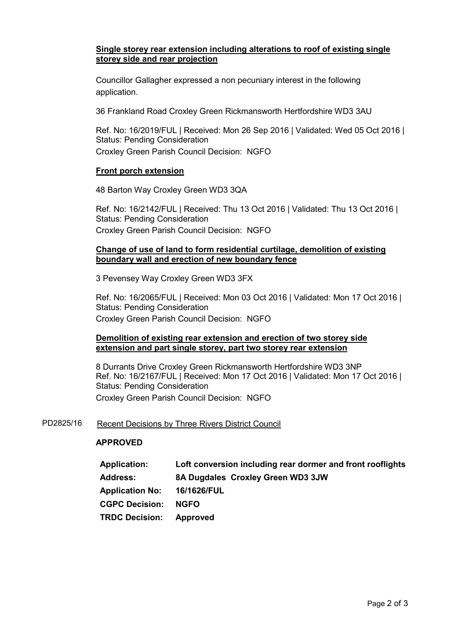# **Single storey rear extension including alterations to roof of existing single storey side and rear projection**

Councillor Gallagher expressed a non pecuniary interest in the following application.

36 Frankland Road Croxley Green Rickmansworth Hertfordshire WD3 3AU

Ref. No: 16/2019/FUL | Received: Mon 26 Sep 2016 | Validated: Wed 05 Oct 2016 | Status: Pending Consideration Croxley Green Parish Council Decision: NGFO

#### **Front porch extension**

48 Barton Way Croxley Green WD3 3QA

Ref. No: 16/2142/FUL | Received: Thu 13 Oct 2016 | Validated: Thu 13 Oct 2016 | Status: Pending Consideration Croxley Green Parish Council Decision: NGFO

#### **Change of use of land to form residential curtilage, demolition of existing boundary wall and erection of new boundary fence**

3 Pevensey Way Croxley Green WD3 3FX

Ref. No: 16/2065/FUL | Received: Mon 03 Oct 2016 | Validated: Mon 17 Oct 2016 | Status: Pending Consideration Croxley Green Parish Council Decision: NGFO

#### **Demolition of existing rear extension and erection of two storey side extension and part single storey, part two storey rear extension**

8 Durrants Drive Croxley Green Rickmansworth Hertfordshire WD3 3NP Ref. No: 16/2167/FUL | Received: Mon 17 Oct 2016 | Validated: Mon 17 Oct 2016 | Status: Pending Consideration Croxley Green Parish Council Decision: NGFO

#### PD2825/16 Recent Decisions by Three Rivers District Council

#### **APPROVED**

| <b>Application:</b>         | Loft conversion including rear dormer and front rooflights |  |
|-----------------------------|------------------------------------------------------------|--|
| <b>Address:</b>             | 8A Dugdales Croxley Green WD3 3JW                          |  |
| Application No: 16/1626/FUL |                                                            |  |
| <b>CGPC Decision:</b>       | <b>NGFO</b>                                                |  |
| <b>TRDC Decision:</b>       | Approved                                                   |  |